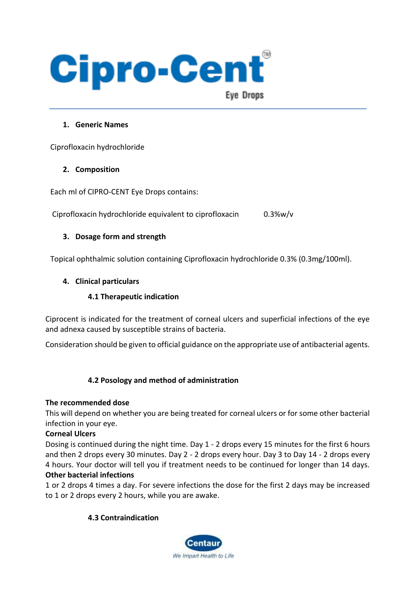

#### **1. Generic Names**

Ciprofloxacin hydrochloride

#### **2. Composition**

Each ml of CIPRO-CENT Eye Drops contains:

Ciprofloxacin hydrochloride equivalent to ciprofloxacin 0.3%w/v

## **3. Dosage form and strength**

Topical ophthalmic solution containing Ciprofloxacin hydrochloride 0.3% (0.3mg/100ml).

## **4. Clinical particulars**

## **4.1 Therapeutic indication**

Ciprocent is indicated for the treatment of corneal ulcers and superficial infections of the eye and adnexa caused by susceptible strains of bacteria.

Consideration should be given to official guidance on the appropriate use of antibacterial agents.

## **4.2 Posology and method of administration**

#### **The recommended dose**

This will depend on whether you are being treated for corneal ulcers or for some other bacterial infection in your eye.

#### **Corneal Ulcers**

Dosing is continued during the night time. Day 1 - 2 drops every 15 minutes for the first 6 hours and then 2 drops every 30 minutes. Day 2 - 2 drops every hour. Day 3 to Day 14 - 2 drops every 4 hours. Your doctor will tell you if treatment needs to be continued for longer than 14 days. **Other bacterial infections**

## 1 or 2 drops 4 times a day. For severe infections the dose for the first 2 days may be increased to 1 or 2 drops every 2 hours, while you are awake.

## **4.3 Contraindication**

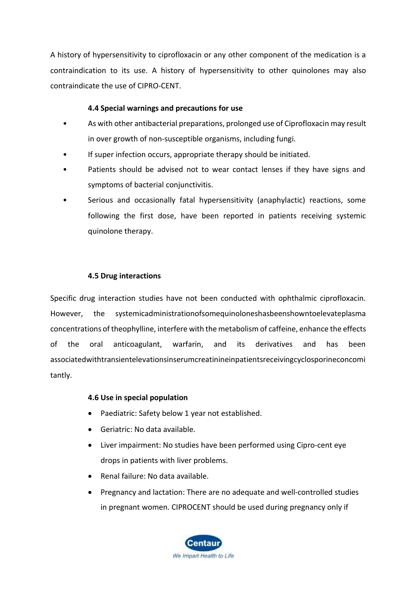A history of hypersensitivity to ciprofloxacin or any other component of the medication is a contraindication to its use. A history of hypersensitivity to other quinolones may also contraindicate the use of CIPRO-CENT.

## **4.4 Special warnings and precautions for use**

- As with other antibacterial preparations, prolonged use of Ciprofloxacin may result in over growth of non-susceptible organisms, including fungi.
- If super infection occurs, appropriate therapy should be initiated.
- Patients should be advised not to wear contact lenses if they have signs and symptoms of bacterial conjunctivitis.
- Serious and occasionally fatal hypersensitivity (anaphylactic) reactions, some following the first dose, have been reported in patients receiving systemic quinolone therapy.

## **4.5 Drug interactions**

Specific drug interaction studies have not been conducted with ophthalmic ciprofloxacin. However, the systemicadministrationofsomequinoloneshasbeenshowntoelevateplasma concentrations of theophylline, interfere with the metabolism of caffeine, enhance the effects of the oral anticoagulant, warfarin, and its derivatives and has been associatedwithtransientelevationsinserumcreatinineinpatientsreceivingcyclosporineconcomi tantly.

#### **4.6 Use in special population**

- Paediatric: Safety below 1 year not established.
- Geriatric: No data available.
- Liver impairment: No studies have been performed using Cipro-cent eye drops in patients with liver problems.
- Renal failure: No data available.
- Pregnancy and lactation: There are no adequate and well-controlled studies in pregnant women. CIPROCENT should be used during pregnancy only if

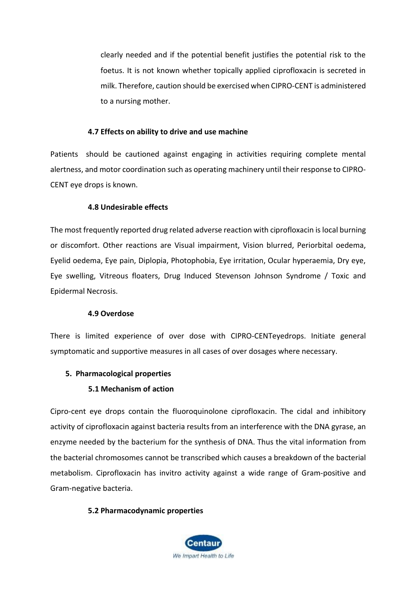clearly needed and if the potential benefit justifies the potential risk to the foetus. It is not known whether topically applied ciprofloxacin is secreted in milk. Therefore, caution should be exercised when CIPRO-CENT is administered to a nursing mother.

#### **4.7 Effects on ability to drive and use machine**

Patients should be cautioned against engaging in activities requiring complete mental alertness, and motor coordination such as operating machinery until their response to CIPRO-CENT eye drops is known.

#### **4.8 Undesirable effects**

The most frequently reported drug related adverse reaction with ciprofloxacin islocal burning or discomfort. Other reactions are Visual impairment, Vision blurred, Periorbital oedema, Eyelid oedema, Eye pain, Diplopia, Photophobia, Eye irritation, Ocular hyperaemia, Dry eye, Eye swelling, Vitreous floaters, Drug Induced Stevenson Johnson Syndrome / Toxic and Epidermal Necrosis.

#### **4.9 Overdose**

There is limited experience of over dose with CIPRO-CENTeyedrops. Initiate general symptomatic and supportive measures in all cases of over dosages where necessary.

#### **5. Pharmacological properties**

#### **5.1 Mechanism of action**

Cipro-cent eye drops contain the fluoroquinolone ciprofloxacin. The cidal and inhibitory activity of ciprofloxacin against bacteria results from an interference with the DNA gyrase, an enzyme needed by the bacterium for the synthesis of DNA. Thus the vital information from the bacterial chromosomes cannot be transcribed which causes a breakdown of the bacterial metabolism. Ciprofloxacin has invitro activity against a wide range of Gram-positive and Gram-negative bacteria.

#### **5.2 Pharmacodynamic properties**

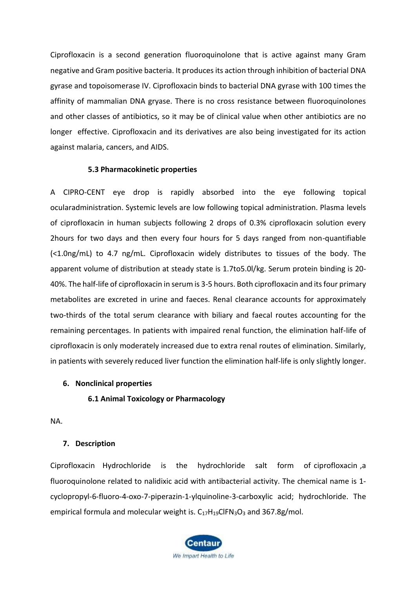Ciprofloxacin is a second generation fluoroquinolone that is active against many Gram negative and Gram positive bacteria. It produces its action through inhibition of bacterial DNA gyrase and topoisomerase IV. Ciprofloxacin binds to bacterial DNA gyrase with 100 times the affinity of mammalian DNA gryase. There is no cross resistance between fluoroquinolones and other classes of antibiotics, so it may be of clinical value when other antibiotics are no longer effective. Ciprofloxacin and its derivatives are also being investigated for its action against malaria, cancers, and AIDS.

#### **5.3 Pharmacokinetic properties**

A CIPRO-CENT eye drop is rapidly absorbed into the eye following topical ocularadministration. Systemic levels are low following topical administration. Plasma levels of ciprofloxacin in human subjects following 2 drops of 0.3% ciprofloxacin solution every 2hours for two days and then every four hours for 5 days ranged from non-quantifiable (<1.0ng/mL) to 4.7 ng/mL. Ciprofloxacin widely distributes to tissues of the body. The apparent volume of distribution at steady state is 1.7to5.0l/kg. Serum protein binding is 20- 40%. The half-life of ciprofloxacin in serum is 3-5 hours. Both ciprofloxacin and its four primary metabolites are excreted in urine and faeces. Renal clearance accounts for approximately two-thirds of the total serum clearance with biliary and faecal routes accounting for the remaining percentages. In patients with impaired renal function, the elimination half-life of ciprofloxacin is only moderately increased due to extra renal routes of elimination. Similarly, in patients with severely reduced liver function the elimination half-life is only slightly longer.

#### **6. Nonclinical properties**

#### **6.1 Animal Toxicology or Pharmacology**

NA.

#### **7. Description**

Ciprofloxacin Hydrochloride is the hydrochloride salt form of [ciprofloxacin](https://pubchem.ncbi.nlm.nih.gov/compound/ciprofloxacin) ,a [fluoroquinolone r](https://pubchem.ncbi.nlm.nih.gov/compound/fluoroquinolone)elated to [nalidixic acid w](https://pubchem.ncbi.nlm.nih.gov/compound/nalidixic%20acid)ith antibacterial activity. The chemical name is 1 cyclopropyl-6-fluoro-4-oxo-7-piperazin-1-ylquinoline-3-carboxylic acid; hydrochloride. The empirical formula and molecular weight is.  $C_{17}H_{19}CIFN_3O_3$  and 367.8g/mol.

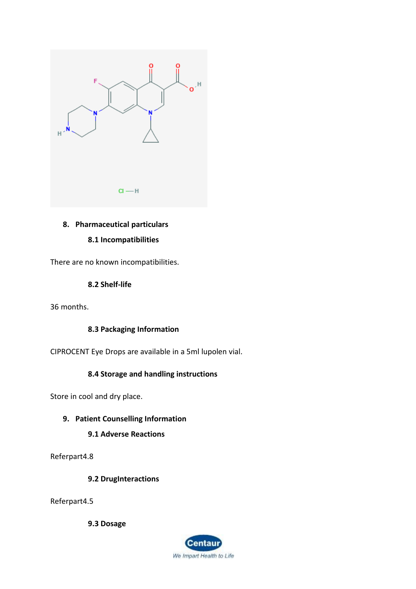

# **8. Pharmaceutical particulars**

#### **8.1 Incompatibilities**

There are no known incompatibilities.

## **8.2 Shelf-life**

36 months.

## **8.3 Packaging Information**

CIPROCENT Eye Drops are available in a 5ml lupolen vial.

# **8.4 Storage and handling instructions**

Store in cool and dry place.

## **9. Patient Counselling Information**

## **9.1 Adverse Reactions**

Referpart4.8

## **9.2 DrugInteractions**

Referpart4.5

**9.3 Dosage**